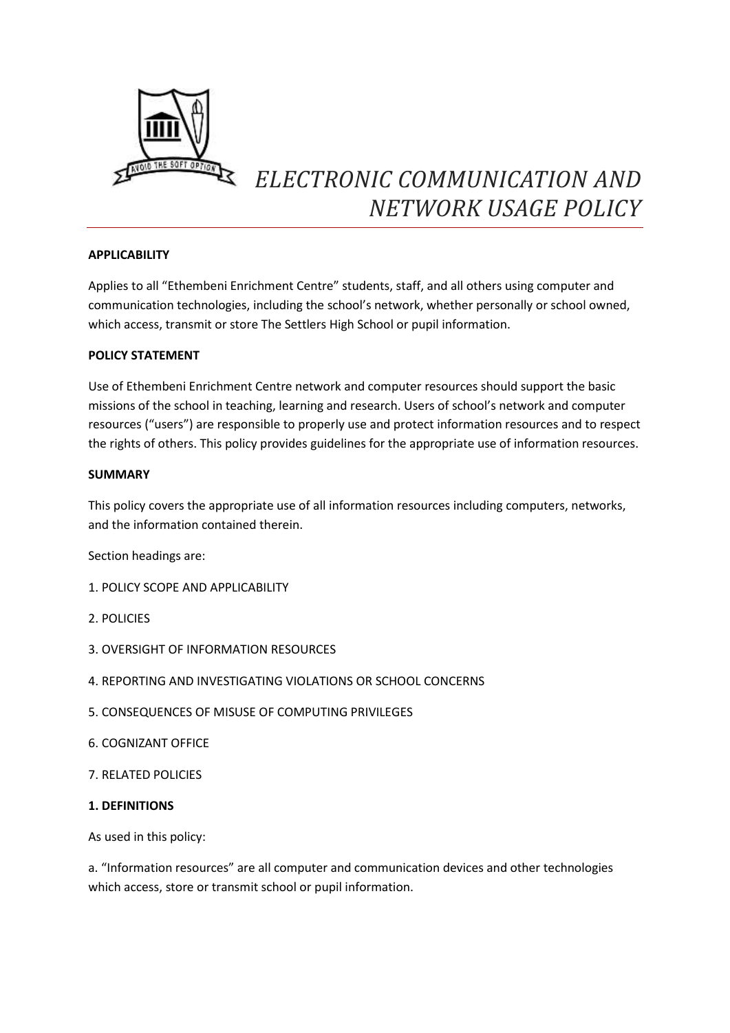

# *ELECTRONIC COMMUNICATION AND NETWORK USAGE POLICY*

## **APPLICABILITY**

Applies to all "Ethembeni Enrichment Centre" students, staff, and all others using computer and communication technologies, including the school's network, whether personally or school owned, which access, transmit or store The Settlers High School or pupil information.

## **POLICY STATEMENT**

Use of Ethembeni Enrichment Centre network and computer resources should support the basic missions of the school in teaching, learning and research. Users of school's network and computer resources ("users") are responsible to properly use and protect information resources and to respect the rights of others. This policy provides guidelines for the appropriate use of information resources.

## **SUMMARY**

This policy covers the appropriate use of all information resources including computers, networks, and the information contained therein.

Section headings are:

- 1. POLICY SCOPE AND APPLICABILITY
- 2. POLICIES
- 3. OVERSIGHT OF INFORMATION RESOURCES
- 4. REPORTING AND INVESTIGATING VIOLATIONS OR SCHOOL CONCERNS
- 5. CONSEQUENCES OF MISUSE OF COMPUTING PRIVILEGES
- 6. COGNIZANT OFFICE
- 7. RELATED POLICIES

## **1. DEFINITIONS**

As used in this policy:

a. "Information resources" are all computer and communication devices and other technologies which access, store or transmit school or pupil information.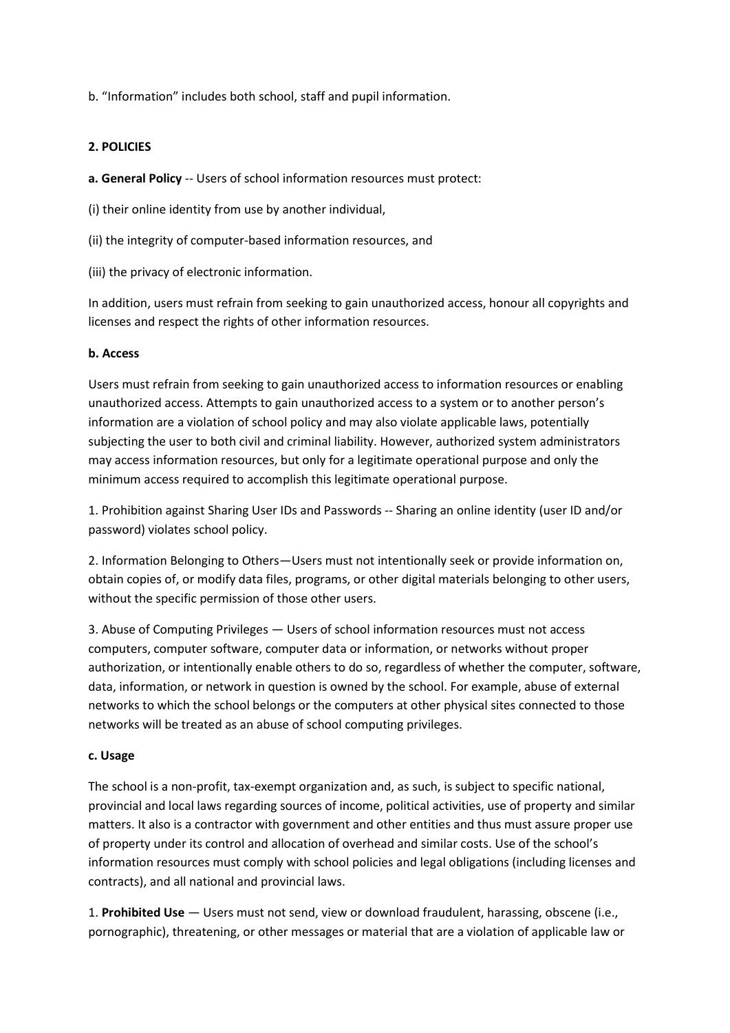b. "Information" includes both school, staff and pupil information.

## **2. POLICIES**

**a. General Policy** ‐‐ Users of school information resources must protect:

(i) their online identity from use by another individual,

(ii) the integrity of computer‐based information resources, and

(iii) the privacy of electronic information.

In addition, users must refrain from seeking to gain unauthorized access, honour all copyrights and licenses and respect the rights of other information resources.

## **b. Access**

Users must refrain from seeking to gain unauthorized access to information resources or enabling unauthorized access. Attempts to gain unauthorized access to a system or to another person's information are a violation of school policy and may also violate applicable laws, potentially subjecting the user to both civil and criminal liability. However, authorized system administrators may access information resources, but only for a legitimate operational purpose and only the minimum access required to accomplish this legitimate operational purpose.

1. Prohibition against Sharing User IDs and Passwords ‐‐ Sharing an online identity (user ID and/or password) violates school policy.

2. Information Belonging to Others—Users must not intentionally seek or provide information on, obtain copies of, or modify data files, programs, or other digital materials belonging to other users, without the specific permission of those other users.

3. Abuse of Computing Privileges — Users of school information resources must not access computers, computer software, computer data or information, or networks without proper authorization, or intentionally enable others to do so, regardless of whether the computer, software, data, information, or network in question is owned by the school. For example, abuse of external networks to which the school belongs or the computers at other physical sites connected to those networks will be treated as an abuse of school computing privileges.

## **c. Usage**

The school is a non-profit, tax-exempt organization and, as such, is subject to specific national, provincial and local laws regarding sources of income, political activities, use of property and similar matters. It also is a contractor with government and other entities and thus must assure proper use of property under its control and allocation of overhead and similar costs. Use of the school's information resources must comply with school policies and legal obligations (including licenses and contracts), and all national and provincial laws.

1. **Prohibited Use** — Users must not send, view or download fraudulent, harassing, obscene (i.e., pornographic), threatening, or other messages or material that are a violation of applicable law or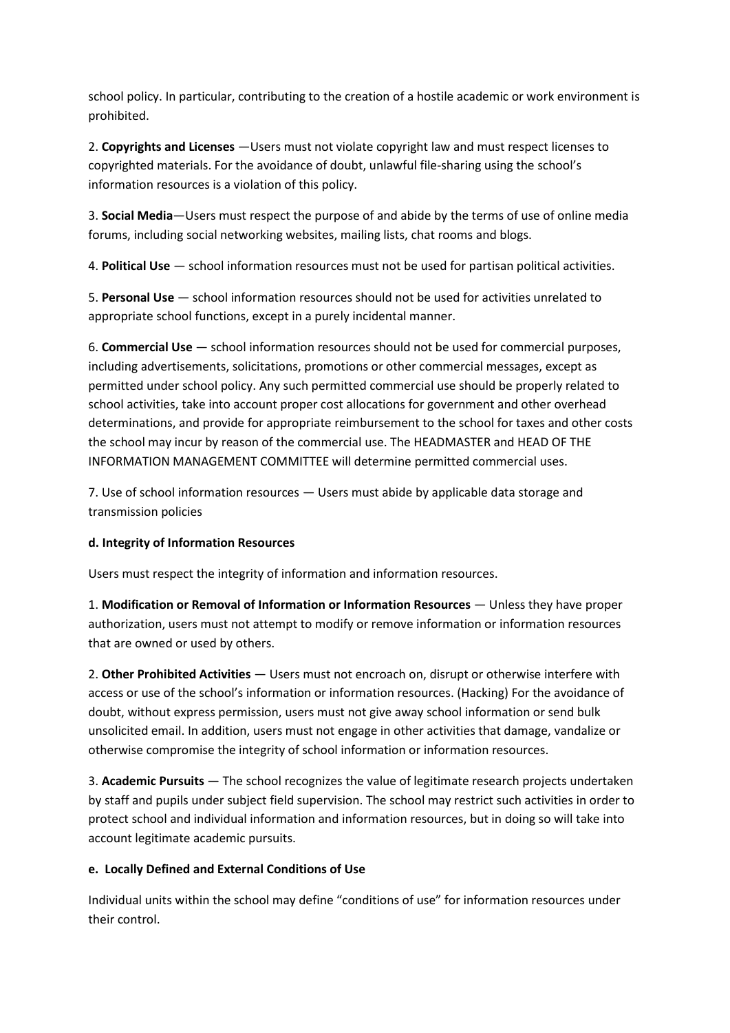school policy. In particular, contributing to the creation of a hostile academic or work environment is prohibited.

2. **Copyrights and Licenses** —Users must not violate copyright law and must respect licenses to copyrighted materials. For the avoidance of doubt, unlawful file‐sharing using the school's information resources is a violation of this policy.

3. **Social Media**—Users must respect the purpose of and abide by the terms of use of online media forums, including social networking websites, mailing lists, chat rooms and blogs.

4. **Political Use** — school information resources must not be used for partisan political activities.

5. **Personal Use** — school information resources should not be used for activities unrelated to appropriate school functions, except in a purely incidental manner.

6. **Commercial Use** — school information resources should not be used for commercial purposes, including advertisements, solicitations, promotions or other commercial messages, except as permitted under school policy. Any such permitted commercial use should be properly related to school activities, take into account proper cost allocations for government and other overhead determinations, and provide for appropriate reimbursement to the school for taxes and other costs the school may incur by reason of the commercial use. The HEADMASTER and HEAD OF THE INFORMATION MANAGEMENT COMMITTEE will determine permitted commercial uses.

7. Use of school information resources — Users must abide by applicable data storage and transmission policies

# **d. Integrity of Information Resources**

Users must respect the integrity of information and information resources.

1. **Modification or Removal of Information or Information Resources** — Unless they have proper authorization, users must not attempt to modify or remove information or information resources that are owned or used by others.

2. **Other Prohibited Activities** — Users must not encroach on, disrupt or otherwise interfere with access or use of the school's information or information resources. (Hacking) For the avoidance of doubt, without express permission, users must not give away school information or send bulk unsolicited email. In addition, users must not engage in other activities that damage, vandalize or otherwise compromise the integrity of school information or information resources.

3. **Academic Pursuits** — The school recognizes the value of legitimate research projects undertaken by staff and pupils under subject field supervision. The school may restrict such activities in order to protect school and individual information and information resources, but in doing so will take into account legitimate academic pursuits.

# **e. Locally Defined and External Conditions of Use**

Individual units within the school may define "conditions of use" for information resources under their control.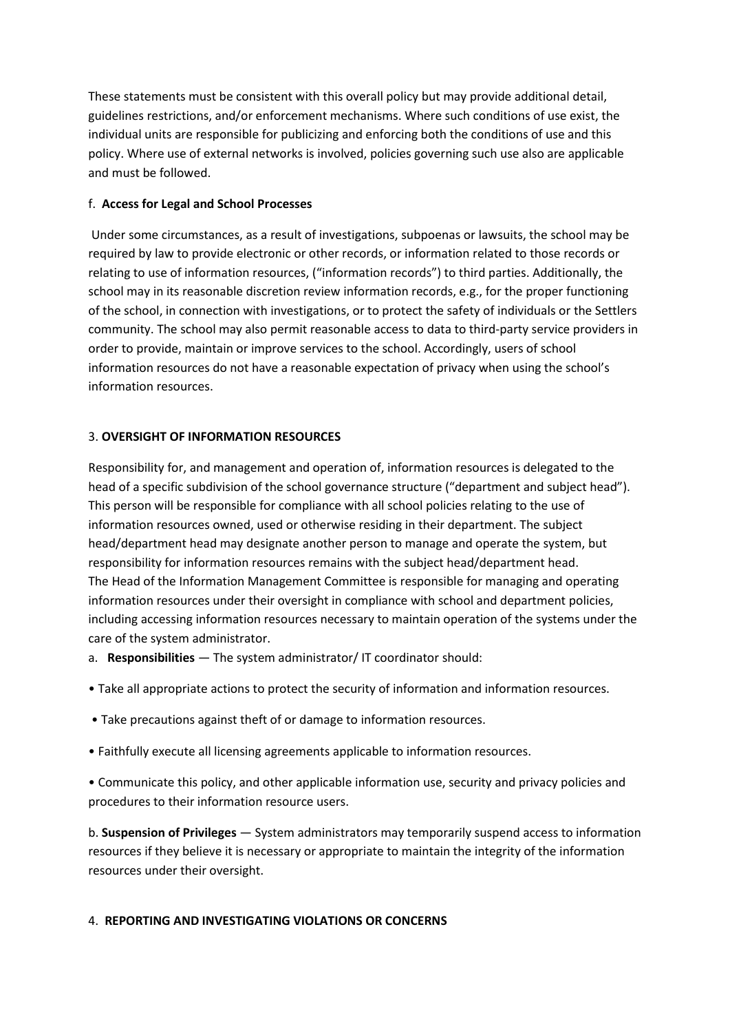These statements must be consistent with this overall policy but may provide additional detail, guidelines restrictions, and/or enforcement mechanisms. Where such conditions of use exist, the individual units are responsible for publicizing and enforcing both the conditions of use and this policy. Where use of external networks is involved, policies governing such use also are applicable and must be followed.

# f. **Access for Legal and School Processes**

Under some circumstances, as a result of investigations, subpoenas or lawsuits, the school may be required by law to provide electronic or other records, or information related to those records or relating to use of information resources, ("information records") to third parties. Additionally, the school may in its reasonable discretion review information records, e.g., for the proper functioning of the school, in connection with investigations, or to protect the safety of individuals or the Settlers community. The school may also permit reasonable access to data to third‐party service providers in order to provide, maintain or improve services to the school. Accordingly, users of school information resources do not have a reasonable expectation of privacy when using the school's information resources.

## 3. **OVERSIGHT OF INFORMATION RESOURCES**

Responsibility for, and management and operation of, information resources is delegated to the head of a specific subdivision of the school governance structure ("department and subject head"). This person will be responsible for compliance with all school policies relating to the use of information resources owned, used or otherwise residing in their department. The subject head/department head may designate another person to manage and operate the system, but responsibility for information resources remains with the subject head/department head. The Head of the Information Management Committee is responsible for managing and operating information resources under their oversight in compliance with school and department policies, including accessing information resources necessary to maintain operation of the systems under the care of the system administrator.

- a. **Responsibilities**  The system administrator/ IT coordinator should:
- Take all appropriate actions to protect the security of information and information resources.
- Take precautions against theft of or damage to information resources.
- Faithfully execute all licensing agreements applicable to information resources.

• Communicate this policy, and other applicable information use, security and privacy policies and procedures to their information resource users.

b. **Suspension of Privileges** — System administrators may temporarily suspend access to information resources if they believe it is necessary or appropriate to maintain the integrity of the information resources under their oversight.

# 4. **REPORTING AND INVESTIGATING VIOLATIONS OR CONCERNS**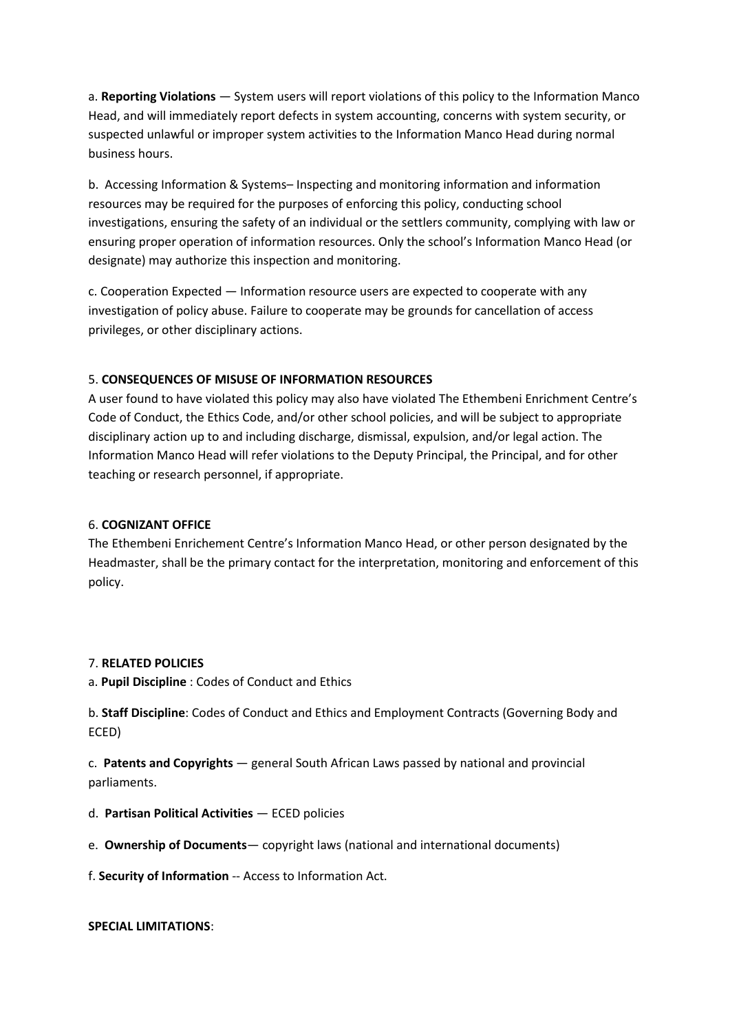a. **Reporting Violations** — System users will report violations of this policy to the Information Manco Head, and will immediately report defects in system accounting, concerns with system security, or suspected unlawful or improper system activities to the Information Manco Head during normal business hours.

b. Accessing Information & Systems– Inspecting and monitoring information and information resources may be required for the purposes of enforcing this policy, conducting school investigations, ensuring the safety of an individual or the settlers community, complying with law or ensuring proper operation of information resources. Only the school's Information Manco Head (or designate) may authorize this inspection and monitoring.

c. Cooperation Expected — Information resource users are expected to cooperate with any investigation of policy abuse. Failure to cooperate may be grounds for cancellation of access privileges, or other disciplinary actions.

# 5. **CONSEQUENCES OF MISUSE OF INFORMATION RESOURCES**

A user found to have violated this policy may also have violated The Ethembeni Enrichment Centre's Code of Conduct, the Ethics Code, and/or other school policies, and will be subject to appropriate disciplinary action up to and including discharge, dismissal, expulsion, and/or legal action. The Information Manco Head will refer violations to the Deputy Principal, the Principal, and for other teaching or research personnel, if appropriate.

## 6. **COGNIZANT OFFICE**

The Ethembeni Enrichement Centre's Information Manco Head, or other person designated by the Headmaster, shall be the primary contact for the interpretation, monitoring and enforcement of this policy.

## 7. **RELATED POLICIES**

a. **Pupil Discipline** : Codes of Conduct and Ethics

b. **Staff Discipline**: Codes of Conduct and Ethics and Employment Contracts (Governing Body and ECED)

c. **Patents and Copyrights** — general South African Laws passed by national and provincial parliaments.

- d. **Partisan Political Activities** ECED policies
- e. **Ownership of Documents** copyright laws (national and international documents)

f. **Security of Information** ‐‐ Access to Information Act.

**SPECIAL LIMITATIONS**: